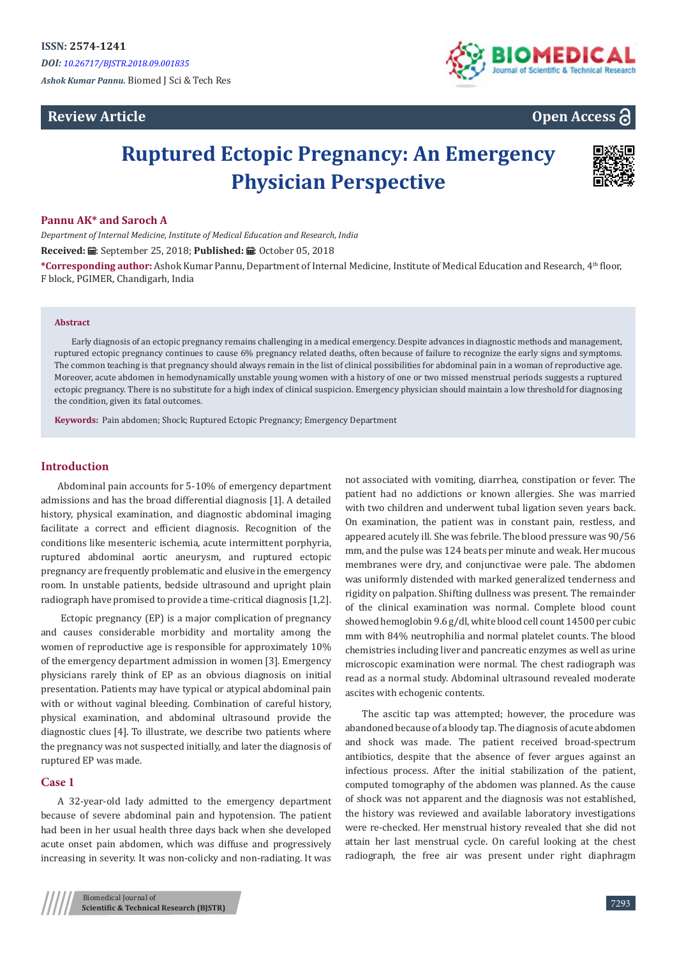*Ashok Kumar Pannu.* Biomed J Sci & Tech Res

# **Review Article**



**Open Access**

# **Ruptured Ectopic Pregnancy: An Emergency Physician Perspective**



# **Pannu AK\* and Saroch A**

*Department of Internal Medicine, Institute of Medical Education and Research, India* **Received:** ■: September 25, 2018; **Published:** ■: October 05, 2018

**\*Corresponding author:** Ashok Kumar Pannu, Department of Internal Medicine, Institute of Medical Education and Research, 4th floor, F block, PGIMER, Chandigarh, India

#### **Abstract**

Early diagnosis of an ectopic pregnancy remains challenging in a medical emergency. Despite advances in diagnostic methods and management, ruptured ectopic pregnancy continues to cause 6% pregnancy related deaths, often because of failure to recognize the early signs and symptoms. The common teaching is that pregnancy should always remain in the list of clinical possibilities for abdominal pain in a woman of reproductive age. Moreover, acute abdomen in hemodynamically unstable young women with a history of one or two missed menstrual periods suggests a ruptured ectopic pregnancy. There is no substitute for a high index of clinical suspicion. Emergency physician should maintain a low threshold for diagnosing the condition, given its fatal outcomes.

**Keywords:** Pain abdomen; Shock; Ruptured Ectopic Pregnancy; Emergency Department

# **Introduction**

Abdominal pain accounts for 5-10% of emergency department admissions and has the broad differential diagnosis [1]. A detailed history, physical examination, and diagnostic abdominal imaging facilitate a correct and efficient diagnosis. Recognition of the conditions like mesenteric ischemia, acute intermittent porphyria, ruptured abdominal aortic aneurysm, and ruptured ectopic pregnancy are frequently problematic and elusive in the emergency room. In unstable patients, bedside ultrasound and upright plain radiograph have promised to provide a time-critical diagnosis [1,2].

 Ectopic pregnancy (EP) is a major complication of pregnancy and causes considerable morbidity and mortality among the women of reproductive age is responsible for approximately 10% of the emergency department admission in women [3]. Emergency physicians rarely think of EP as an obvious diagnosis on initial presentation. Patients may have typical or atypical abdominal pain with or without vaginal bleeding. Combination of careful history, physical examination, and abdominal ultrasound provide the diagnostic clues [4]. To illustrate, we describe two patients where the pregnancy was not suspected initially, and later the diagnosis of ruptured EP was made.

# **Case 1**

A 32-year-old lady admitted to the emergency department because of severe abdominal pain and hypotension. The patient had been in her usual health three days back when she developed acute onset pain abdomen, which was diffuse and progressively increasing in severity. It was non-colicky and non-radiating. It was

not associated with vomiting, diarrhea, constipation or fever. The patient had no addictions or known allergies. She was married with two children and underwent tubal ligation seven years back. On examination, the patient was in constant pain, restless, and appeared acutely ill. She was febrile. The blood pressure was 90/56 mm, and the pulse was 124 beats per minute and weak. Her mucous membranes were dry, and conjunctivae were pale. The abdomen was uniformly distended with marked generalized tenderness and rigidity on palpation. Shifting dullness was present. The remainder of the clinical examination was normal. Complete blood count showed hemoglobin 9.6 g/dl, white blood cell count 14500 per cubic mm with 84% neutrophilia and normal platelet counts. The blood chemistries including liver and pancreatic enzymes as well as urine microscopic examination were normal. The chest radiograph was read as a normal study. Abdominal ultrasound revealed moderate ascites with echogenic contents.

The ascitic tap was attempted; however, the procedure was abandoned because of a bloody tap. The diagnosis of acute abdomen and shock was made. The patient received broad-spectrum antibiotics, despite that the absence of fever argues against an infectious process. After the initial stabilization of the patient, computed tomography of the abdomen was planned. As the cause of shock was not apparent and the diagnosis was not established, the history was reviewed and available laboratory investigations were re-checked. Her menstrual history revealed that she did not attain her last menstrual cycle. On careful looking at the chest radiograph, the free air was present under right diaphragm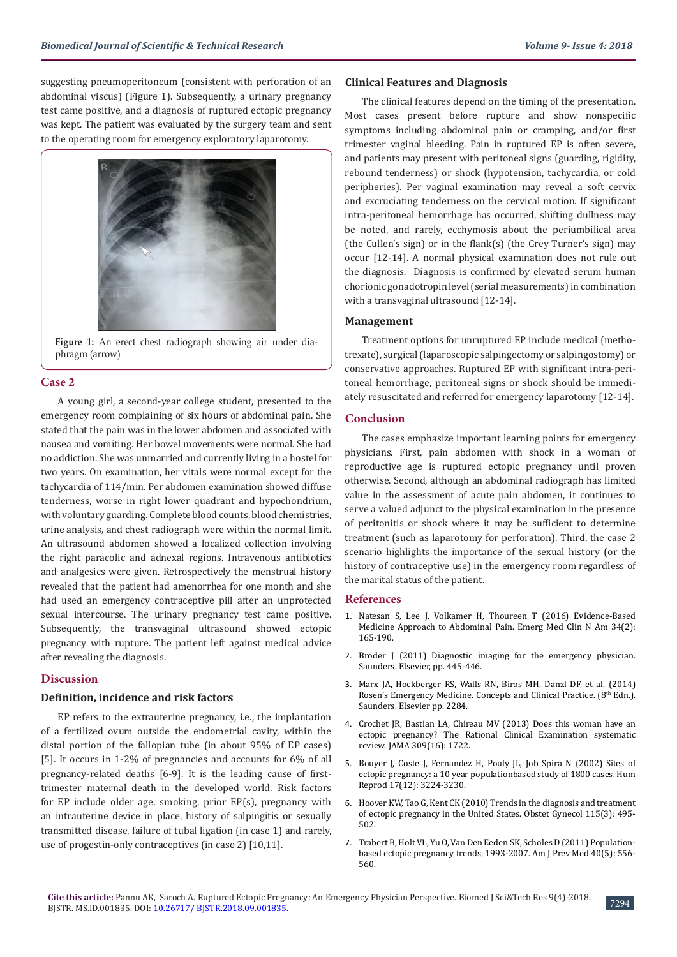suggesting pneumoperitoneum (consistent with perforation of an abdominal viscus) (Figure 1). Subsequently, a urinary pregnancy test came positive, and a diagnosis of ruptured ectopic pregnancy was kept. The patient was evaluated by the surgery team and sent to the operating room for emergency exploratory laparotomy.



**Figure 1:** An erect chest radiograph showing air under diaphragm (arrow)

#### **Case 2**

A young girl, a second-year college student, presented to the emergency room complaining of six hours of abdominal pain. She stated that the pain was in the lower abdomen and associated with nausea and vomiting. Her bowel movements were normal. She had no addiction. She was unmarried and currently living in a hostel for two years. On examination, her vitals were normal except for the tachycardia of 114/min. Per abdomen examination showed diffuse tenderness, worse in right lower quadrant and hypochondrium, with voluntary guarding. Complete blood counts, blood chemistries, urine analysis, and chest radiograph were within the normal limit. An ultrasound abdomen showed a localized collection involving the right paracolic and adnexal regions. Intravenous antibiotics and analgesics were given. Retrospectively the menstrual history revealed that the patient had amenorrhea for one month and she had used an emergency contraceptive pill after an unprotected sexual intercourse. The urinary pregnancy test came positive. Subsequently, the transvaginal ultrasound showed ectopic pregnancy with rupture. The patient left against medical advice after revealing the diagnosis.

# **Discussion**

#### **Definition, incidence and risk factors**

EP refers to the extrauterine pregnancy, i.e., the implantation of a fertilized ovum outside the endometrial cavity, within the distal portion of the fallopian tube (in about 95% of EP cases) [5]. It occurs in 1-2% of pregnancies and accounts for 6% of all pregnancy-related deaths [6-9]. It is the leading cause of firsttrimester maternal death in the developed world. Risk factors for EP include older age, smoking, prior EP(s), pregnancy with an intrauterine device in place, history of salpingitis or sexually transmitted disease, failure of tubal ligation (in case 1) and rarely, use of progestin-only contraceptives (in case 2) [10,11].

#### **Clinical Features and Diagnosis**

The clinical features depend on the timing of the presentation. Most cases present before rupture and show nonspecific symptoms including abdominal pain or cramping, and/or first trimester vaginal bleeding. Pain in ruptured EP is often severe, and patients may present with peritoneal signs (guarding, rigidity, rebound tenderness) or shock (hypotension, tachycardia, or cold peripheries). Per vaginal examination may reveal a soft cervix and excruciating tenderness on the cervical motion. If significant intra-peritoneal hemorrhage has occurred, shifting dullness may be noted, and rarely, ecchymosis about the periumbilical area (the Cullen's sign) or in the flank(s) (the Grey Turner's sign) may occur [12-14]. A normal physical examination does not rule out the diagnosis. Diagnosis is confirmed by elevated serum human chorionic gonadotropin level (serial measurements) in combination with a transvaginal ultrasound [12-14].

# **Management**

Treatment options for unruptured EP include medical (methotrexate), surgical (laparoscopic salpingectomy or salpingostomy) or conservative approaches. Ruptured EP with significant intra-peritoneal hemorrhage, peritoneal signs or shock should be immediately resuscitated and referred for emergency laparotomy [12-14].

# **Conclusion**

The cases emphasize important learning points for emergency physicians. First, pain abdomen with shock in a woman of reproductive age is ruptured ectopic pregnancy until proven otherwise. Second, although an abdominal radiograph has limited value in the assessment of acute pain abdomen, it continues to serve a valued adjunct to the physical examination in the presence of peritonitis or shock where it may be sufficient to determine treatment (such as laparotomy for perforation). Third, the case 2 scenario highlights the importance of the sexual history (or the history of contraceptive use) in the emergency room regardless of the marital status of the patient.

#### **References**

- 1. [Natesan S, Lee J, Volkamer H, Thoureen T \(2016\) Evidence-Based](https://www.ncbi.nlm.nih.gov/pubmed/27133239) [Medicine Approach to Abdominal Pain. Emerg Med Clin N Am 34\(2\):](https://www.ncbi.nlm.nih.gov/pubmed/27133239) [165-190.](https://www.ncbi.nlm.nih.gov/pubmed/27133239)
- 2. [Broder J \(2011\) Diagnostic imaging for the emergency physician.](https://www.elsevier.com/books/diagnostic-imaging-for-the-emergency-physician/9781416061137) [Saunders. Elsevier, pp. 445-446.](https://www.elsevier.com/books/diagnostic-imaging-for-the-emergency-physician/9781416061137)
- 3. [Marx JA, Hockberger RS, Walls RN, Biros MH, Danzl DF, et al. \(2014\)](https://www.elsevier.com/books/rosens-emergency-medicine-concepts-and-clinical-practice-2-volume-set/marx/978-1-4557-0605-1) [Rosen's Emergency Medicine. Concepts and Clinical Practice. \(8](https://www.elsevier.com/books/rosens-emergency-medicine-concepts-and-clinical-practice-2-volume-set/marx/978-1-4557-0605-1)th Edn.). [Saunders. Elsevier pp. 2284.](https://www.elsevier.com/books/rosens-emergency-medicine-concepts-and-clinical-practice-2-volume-set/marx/978-1-4557-0605-1)
- 4. [Crochet JR, Bastian LA, Chireau MV \(2013\) Does this woman have an](https://www.ncbi.nlm.nih.gov/pubmed/23613077) [ectopic pregnancy? The Rational Clinical Examination systematic](https://www.ncbi.nlm.nih.gov/pubmed/23613077) [review. JAMA 309\(16\): 1722.](https://www.ncbi.nlm.nih.gov/pubmed/23613077)
- 5. [Bouyer J, Coste J, Fernandez H, Pouly JL, Job Spira N \(2002\) Sites of](https://www.ncbi.nlm.nih.gov/pubmed/12456628) [ectopic pregnancy: a 10 year populationbased study of 1800 cases. Hum](https://www.ncbi.nlm.nih.gov/pubmed/12456628) [Reprod 17\(12\): 3224-3230.](https://www.ncbi.nlm.nih.gov/pubmed/12456628)
- 6. [Hoover KW, Tao G, Kent CK \(2010\) Trends in the diagnosis and treatment](https://www.ncbi.nlm.nih.gov/pubmed/20177279) [of ectopic pregnancy in the United States. Obstet Gynecol 115\(3\): 495-](https://www.ncbi.nlm.nih.gov/pubmed/20177279) [502.](https://www.ncbi.nlm.nih.gov/pubmed/20177279)
- 7. [Trabert B, Holt VL, Yu O, Van Den Eeden SK, Scholes D \(2011\) Population](https://www.ncbi.nlm.nih.gov/pubmed/21496755)[based ectopic pregnancy trends, 1993-2007. Am J Prev Med 40\(5\): 556-](https://www.ncbi.nlm.nih.gov/pubmed/21496755) [560.](https://www.ncbi.nlm.nih.gov/pubmed/21496755)